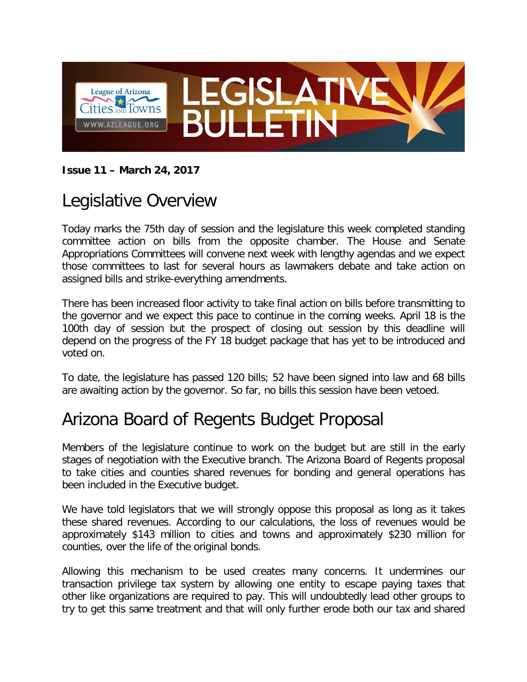

#### **Issue 11 – March 24, 2017**

### Legislative Overview

Today marks the 75th day of session and the legislature this week completed standing committee action on bills from the opposite chamber. The House and Senate Appropriations Committees will convene next week with lengthy agendas and we expect those committees to last for several hours as lawmakers debate and take action on assigned bills and strike-everything amendments.

There has been increased floor activity to take final action on bills before transmitting to the governor and we expect this pace to continue in the coming weeks. April 18 is the 100th day of session but the prospect of closing out session by this deadline will depend on the progress of the FY 18 budget package that has yet to be introduced and voted on.

To date, the legislature has passed 120 bills; 52 have been signed into law and 68 bills are awaiting action by the governor. So far, no bills this session have been vetoed.

# Arizona Board of Regents Budget Proposal

Members of the legislature continue to work on the budget but are still in the early stages of negotiation with the Executive branch. The Arizona Board of Regents proposal to take cities and counties shared revenues for bonding and general operations has been included in the Executive budget.

We have told legislators that we will strongly oppose this proposal as long as it takes these shared revenues. According to our calculations, the loss of revenues would be approximately \$143 million to cities and towns and approximately \$230 million for counties, over the life of the original bonds.

Allowing this mechanism to be used creates many concerns. It undermines our transaction privilege tax system by allowing one entity to escape paying taxes that other like organizations are required to pay. This will undoubtedly lead other groups to try to get this same treatment and that will only further erode both our tax and shared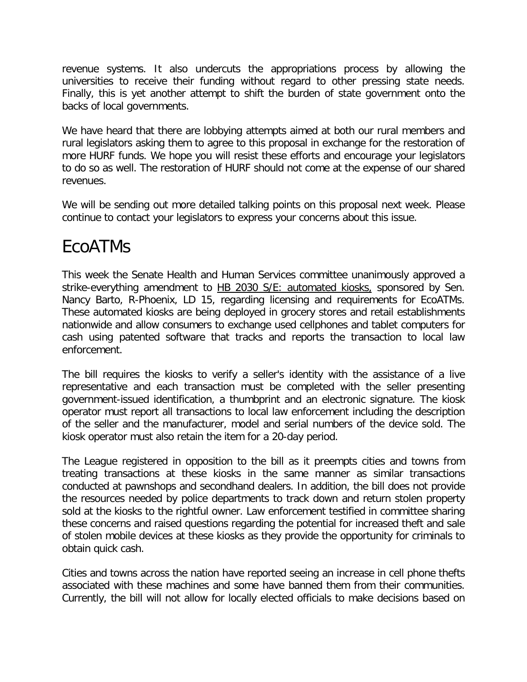revenue systems. It also undercuts the appropriations process by allowing the universities to receive their funding without regard to other pressing state needs. Finally, this is yet another attempt to shift the burden of state government onto the backs of local governments.

We have heard that there are lobbying attempts aimed at both our rural members and rural legislators asking them to agree to this proposal in exchange for the restoration of more HURF funds. We hope you will resist these efforts and encourage your legislators to do so as well. The restoration of HURF should not come at the expense of our shared revenues.

We will be sending out more detailed talking points on this proposal next week. Please continue to contact your legislators to express your concerns about this issue.

### EcoATMs

This week the Senate Health and Human Services committee unanimously approved a strike-everything amendment to HB 2030 S/E: automated kiosks, sponsored by Sen. Nancy Barto, R-Phoenix, LD 15, regarding licensing and requirements for EcoATMs. These automated kiosks are being deployed in grocery stores and retail establishments nationwide and allow consumers to exchange used cellphones and tablet computers for cash using patented software that tracks and reports the transaction to local law enforcement.

The bill requires the kiosks to verify a seller's identity with the assistance of a live representative and each transaction must be completed with the seller presenting government-issued identification, a thumbprint and an electronic signature. The kiosk operator must report all transactions to local law enforcement including the description of the seller and the manufacturer, model and serial numbers of the device sold. The kiosk operator must also retain the item for a 20-day period.

The League registered in opposition to the bill as it preempts cities and towns from treating transactions at these kiosks in the same manner as similar transactions conducted at pawnshops and secondhand dealers. In addition, the bill does not provide the resources needed by police departments to track down and return stolen property sold at the kiosks to the rightful owner. Law enforcement testified in committee sharing these concerns and raised questions regarding the potential for increased theft and sale of stolen mobile devices at these kiosks as they provide the opportunity for criminals to obtain quick cash.

Cities and towns across the nation have reported seeing an increase in cell phone thefts associated with these machines and some have banned them from their communities. Currently, the bill will not allow for locally elected officials to make decisions based on